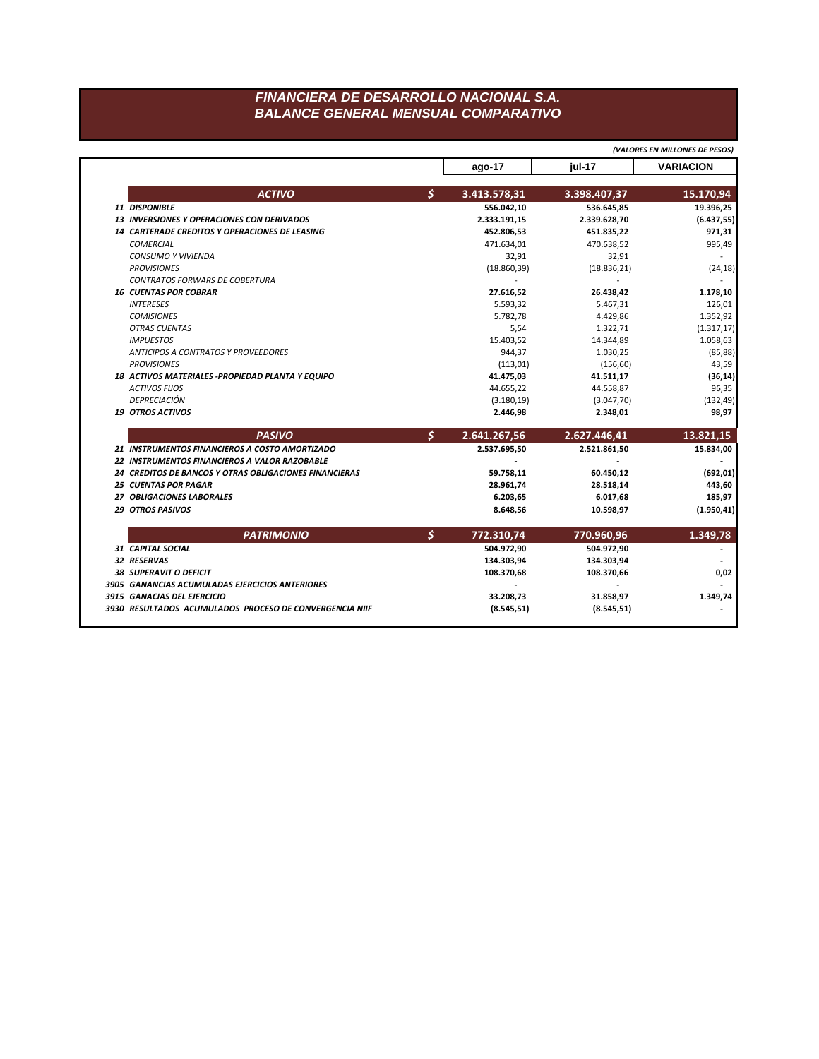## FINANCIERA DE DESARROLLO NACIONAL S.A. **BALANCE GENERAL MENSUAL COMPARATIVO**

|                                                        |                    | (VALORES EN MILLONES DE PESOS) |                                                       |
|--------------------------------------------------------|--------------------|--------------------------------|-------------------------------------------------------|
|                                                        | ago-17             | iul-17                         | <b>VARIACION</b>                                      |
| <b>ACTIVO</b>                                          | \$<br>3.413.578,31 | 3.398.407,37                   | 15.170,94                                             |
| 11 DISPONIBLE                                          | 556.042,10         | 536.645,85                     | 19.396,25                                             |
| <b>13 INVERSIONES Y OPERACIONES CON DERIVADOS</b>      | 2.333.191,15       | 2.339.628,70                   | (6.437, 55)                                           |
| <b>14 CARTERADE CREDITOS Y OPERACIONES DE LEASING</b>  | 452.806,53         | 451.835,22                     | 971,31                                                |
| <b>COMERCIAL</b>                                       | 471.634,01         | 470.638,52                     | 995,49                                                |
| <b>CONSUMO Y VIVIENDA</b>                              | 32,91              | 32,91                          |                                                       |
| <b>PROVISIONES</b>                                     | (18.860, 39)       | (18.836, 21)                   | (24, 18)                                              |
| <b>CONTRATOS FORWARS DE COBERTURA</b>                  |                    |                                |                                                       |
| <b>16 CUENTAS POR COBRAR</b>                           | 27.616.52          | 26.438,42                      | 1.178,10                                              |
| <b>INTERESES</b>                                       | 5.593,32           | 5.467,31                       | 126,01                                                |
| <b>COMISIONES</b>                                      | 5.782,78           | 4.429,86                       | 1.352,92                                              |
| <b>OTRAS CUENTAS</b>                                   | 5,54               | 1.322,71                       | (1.317, 17)                                           |
| <b>IMPUESTOS</b>                                       | 15.403,52          | 14.344,89                      | 1.058,63                                              |
| ANTICIPOS A CONTRATOS Y PROVEEDORES                    | 944,37             | 1.030,25                       | (85, 88)                                              |
| <b>PROVISIONES</b>                                     | (113,01)           | (156, 60)                      | 43,59                                                 |
| 18 ACTIVOS MATERIALES - PROPIEDAD PLANTA Y EQUIPO      | 41.475,03          | 41.511,17                      | (36, 14)                                              |
| <b>ACTIVOS FIJOS</b>                                   | 44.655,22          | 44.558,87                      | 96,35                                                 |
| <b>DEPRECIACIÓN</b>                                    | (3.180, 19)        | (3.047, 70)                    | (132, 49)                                             |
| <b>19 OTROS ACTIVOS</b>                                | 2.446,98           | 2.348,01                       | 98,97                                                 |
| <b>PASIVO</b>                                          | \$<br>2.641.267,56 | 2.627.446,41                   | 13.821,15                                             |
| 21 INSTRUMENTOS FINANCIEROS A COSTO AMORTIZADO         | 2.537.695,50       | 2.521.861,50                   | 15.834,00                                             |
| 22 INSTRUMENTOS FINANCIEROS A VALOR RAZOBABLE          |                    |                                |                                                       |
| 24 CREDITOS DE BANCOS Y OTRAS OBLIGACIONES FINANCIERAS | 59.758,11          | 60.450,12                      | (692, 01)                                             |
| <b>25 CUENTAS POR PAGAR</b>                            | 28.961,74          | 28.518,14                      | 443,60                                                |
|                                                        |                    |                                |                                                       |
| 27 OBLIGACIONES LABORALES                              | 6.203,65           | 6.017,68                       |                                                       |
| 29 OTROS PASIVOS                                       | 8.648,56           | 10.598,97                      |                                                       |
| <b>PATRIMONIO</b>                                      | \$<br>772.310,74   | 770.960,96                     |                                                       |
| 31 CAPITAL SOCIAL                                      | 504.972,90         | 504.972,90                     |                                                       |
| 32 RESERVAS                                            | 134.303,94         | 134.303,94                     |                                                       |
| <b>38 SUPERAVIT O DEFICIT</b>                          | 108.370,68         | 108.370,66                     |                                                       |
| 3905 GANANCIAS ACUMULADAS EJERCICIOS ANTERIORES        |                    |                                |                                                       |
| 3915 GANACIAS DEL EJERCICIO                            | 33.208,73          | 31.858,97                      | 185,97<br>(1.950, 41)<br>1.349,78<br>0,02<br>1.349,74 |